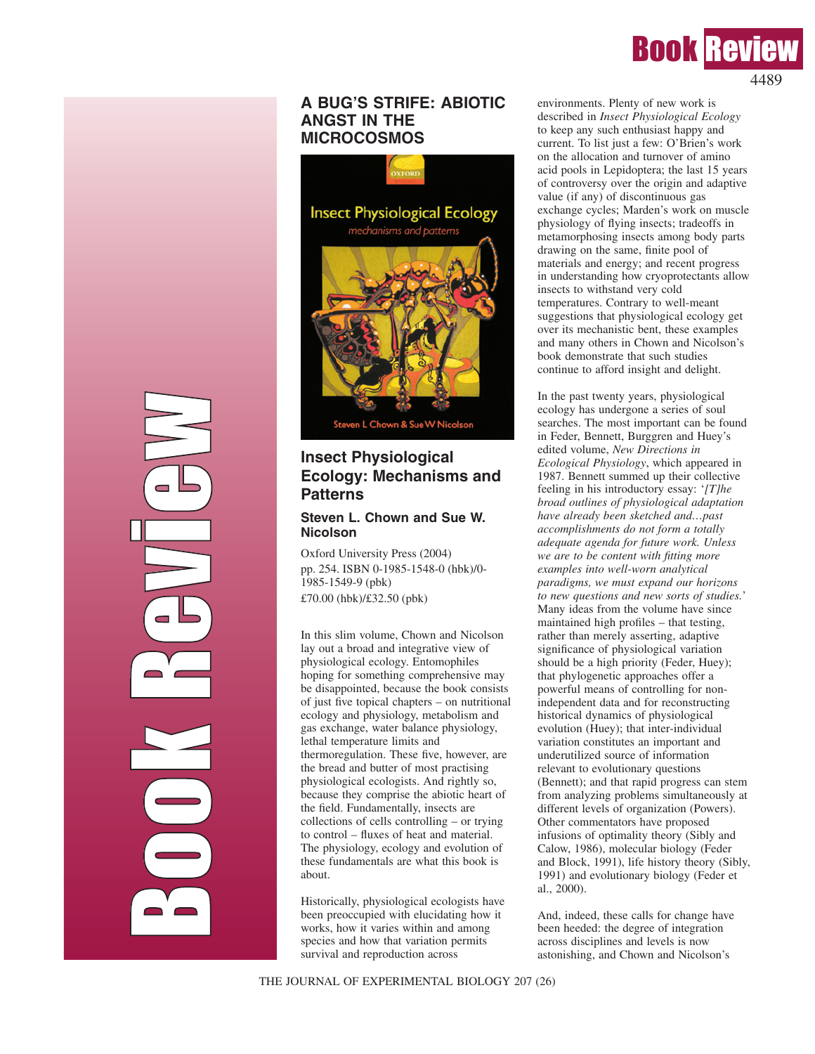## **A BUG'S STRIFE: ABIOTIC ANGST IN THE MICROCOSMOS**



## **Insect Physiological Ecology: Mechanisms and Patterns**

### **Steven L. Chown and Sue W. Nicolson**

Oxford University Press (2004) pp. 254. ISBN 0-1985-1548-0 (hbk)/0- 1985-1549-9 (pbk) £70.00 (hbk)/£32.50 (pbk)

In this slim volume, Chown and Nicolson lay out a broad and integrative view of physiological ecology. Entomophiles hoping for something comprehensive may be disappointed, because the book consists of just five topical chapters – on nutritional ecology and physiology, metabolism and gas exchange, water balance physiology, lethal temperature limits and thermoregulation. These five, however, are the bread and butter of most practising physiological ecologists. And rightly so, because they comprise the abiotic heart of the field. Fundamentally, insects are collections of cells controlling – or trying to control – fluxes of heat and material. The physiology, ecology and evolution of these fundamentals are what this book is about.

Historically, physiological ecologists have been preoccupied with elucidating how it works, how it varies within and among species and how that variation permits survival and reproduction across

**PO** 

o

o

k P

GB)

N

in 1999.<br>Provincia de la contrada de la contrada de la contrada de la contrada de la contrada de la contrada de la cont

GB)

w

environments. Plenty of new work is described in *Insect Physiological Ecology* to keep any such enthusiast happy and current. To list just a few: O'Brien's work on the allocation and turnover of amino acid pools in Lepidoptera; the last 15 years of controversy over the origin and adaptive value (if any) of discontinuous gas exchange cycles; Marden's work on muscle physiology of flying insects; tradeoffs in metamorphosing insects among body parts drawing on the same, finite pool of materials and energy; and recent progress in understanding how cryoprotectants allow insects to withstand very cold temperatures. Contrary to well-meant suggestions that physiological ecology get over its mechanistic bent, these examples and many others in Chown and Nicolson's book demonstrate that such studies continue to afford insight and delight.

In the past twenty years, physiological ecology has undergone a series of soul searches. The most important can be found in Feder, Bennett, Burggren and Huey's edited volume, *New Directions in Ecological Physiology*, which appeared in 1987. Bennett summed up their collective feeling in his introductory essay: '*[T]he broad outlines of physiological adaptation have already been sketched and…past accomplishments do not form a totally adequate agenda for future work. Unless we are to be content with fitting more examples into well-worn analytical paradigms, we must expand our horizons to new questions and new sorts of studies.*' Many ideas from the volume have since maintained high profiles – that testing, rather than merely asserting, adaptive significance of physiological variation should be a high priority (Feder, Huey); that phylogenetic approaches offer a powerful means of controlling for nonindependent data and for reconstructing historical dynamics of physiological evolution (Huey); that inter-individual variation constitutes an important and underutilized source of information relevant to evolutionary questions (Bennett); and that rapid progress can stem from analyzing problems simultaneously at different levels of organization (Powers). Other commentators have proposed infusions of optimality theory (Sibly and Calow, 1986), molecular biology (Feder and Block, 1991), life history theory (Sibly, 1991) and evolutionary biology (Feder et al., 2000).

And, indeed, these calls for change have been heeded: the degree of integration across disciplines and levels is now astonishing, and Chown and Nicolson's

# **Book Revi**

4489